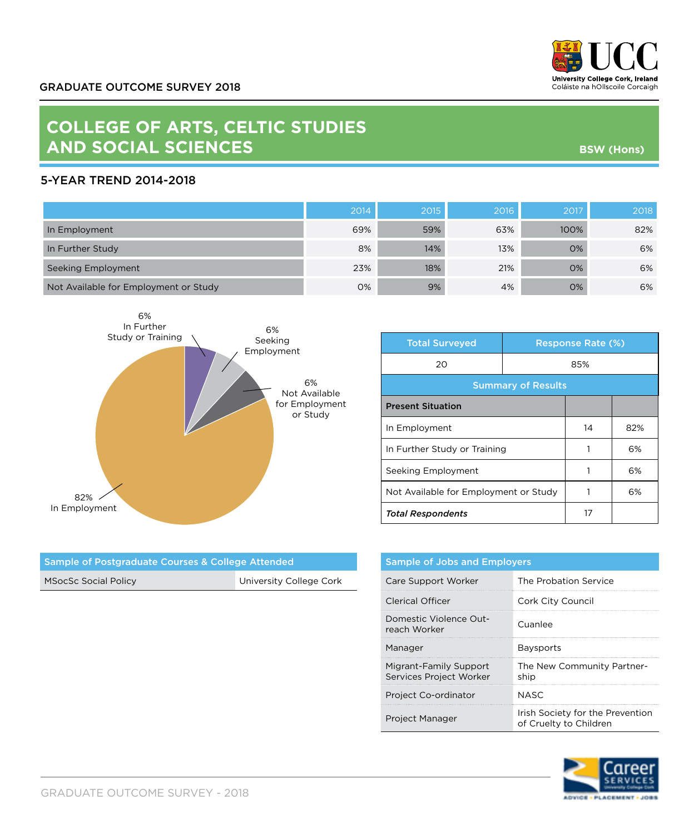

**BSW (Hons)**

## **COLLEGE OF ARTS, CELTIC STUDIES AND SOCIAL SCIENCES**

## 5-YEAR TREND 2014-2018

|                                       | 2014 | 2015 | 2016 | 2017 | 2018 |
|---------------------------------------|------|------|------|------|------|
| In Employment                         | 69%  | 59%  | 63%  | 100% | 82%  |
| In Further Study                      | 8%   | 14%  | 13%  | 0%   | 6%   |
| Seeking Employment                    | 23%  | 18%  | 21%  | 0%   | 6%   |
| Not Available for Employment or Study | 0%   | 9%   | 4%   | O%   | 6%   |



| <b>Total Surveyed</b>                 | <b>Response Rate (%)</b> |    |     |  |
|---------------------------------------|--------------------------|----|-----|--|
| 20                                    | 85%                      |    |     |  |
| <b>Summary of Results</b>             |                          |    |     |  |
| <b>Present Situation</b>              |                          |    |     |  |
| In Employment                         |                          | 14 | 82% |  |
| In Further Study or Training          |                          |    | 6%  |  |
| Seeking Employment                    |                          |    | 6%  |  |
| Not Available for Employment or Study |                          |    | 6%  |  |
| <b>Total Respondents</b>              |                          | 17 |     |  |

| Sample of Postgraduate Courses & College Attended |                         |  |
|---------------------------------------------------|-------------------------|--|
| <b>MSocSc Social Policy</b>                       | University College Cork |  |

| <b>Sample of Jobs and Employers</b>               |                                                            |  |
|---------------------------------------------------|------------------------------------------------------------|--|
| Care Support Worker                               | The Probation Service                                      |  |
| Clerical Officer                                  | Cork City Council                                          |  |
| Domestic Violence Out-<br>reach Worker            | Cuanlee                                                    |  |
| Manager                                           | <b>Baysports</b>                                           |  |
| Migrant-Family Support<br>Services Project Worker | The New Community Partner-<br>ship                         |  |
| Project Co-ordinator                              | NASC.                                                      |  |
| Project Manager                                   | Irish Society for the Prevention<br>of Cruelty to Children |  |



GRADUATE OUTCOME SURVEY - 2018